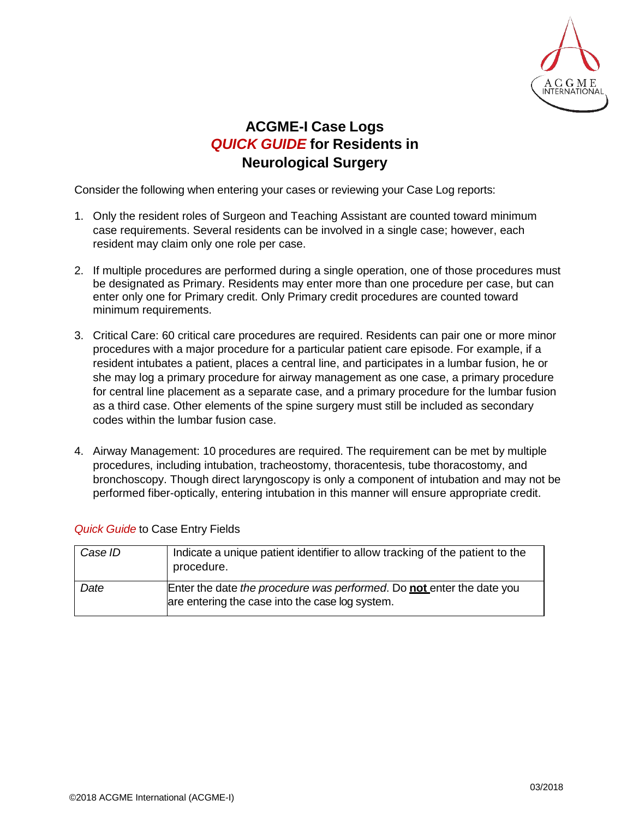

## **ACGME-I Case Logs** *QUICK GUIDE* **for Residents in Neurological Surgery**

Consider the following when entering your cases or reviewing your Case Log reports:

- 1. Only the resident roles of Surgeon and Teaching Assistant are counted toward minimum case requirements. Several residents can be involved in a single case; however, each resident may claim only one role per case.
- 2. If multiple procedures are performed during a single operation, one of those procedures must be designated as Primary. Residents may enter more than one procedure per case, but can enter only one for Primary credit. Only Primary credit procedures are counted toward minimum requirements.
- 3. Critical Care: 60 critical care procedures are required. Residents can pair one or more minor procedures with a major procedure for a particular patient care episode. For example, if a resident intubates a patient, places a central line, and participates in a lumbar fusion, he or she may log a primary procedure for airway management as one case, a primary procedure for central line placement as a separate case, and a primary procedure for the lumbar fusion as a third case. Other elements of the spine surgery must still be included as secondary codes within the lumbar fusion case.
- 4. Airway Management: 10 procedures are required. The requirement can be met by multiple procedures, including intubation, tracheostomy, thoracentesis, tube thoracostomy, and bronchoscopy. Though direct laryngoscopy is only a component of intubation and may not be performed fiber-optically, entering intubation in this manner will ensure appropriate credit.

| Case ID | Indicate a unique patient identifier to allow tracking of the patient to the<br>procedure.                               |
|---------|--------------------------------------------------------------------------------------------------------------------------|
| Date    | Enter the date the procedure was performed. Do not enter the date you<br>are entering the case into the case log system. |

## *Quick Guide* to Case Entry Fields